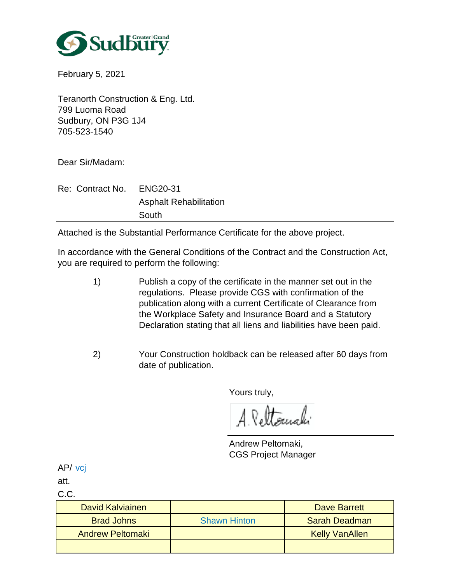

February 5, 2021

Teranorth Construction & Eng. Ltd. 799 Luoma Road Sudbury, ON P3G 1J4 705-523-1540

Dear Sir/Madam:

Re: Contract No. Asphalt Rehabilitation ENG20-31 South

Attached is the Substantial Performance Certificate for the above project.

In accordance with the General Conditions of the Contract and the Construction Act, you are required to perform the following:

- Publish a copy of the certificate in the manner set out in the regulations. Please provide CGS with confirmation of the publication along with a current Certificate of Clearance from the Workplace Safety and Insurance Board and a Statutory Declaration stating that all liens and liabilities have been paid. 1)
- Your Construction holdback can be released after 60 days from date of publication. 2)

Yours truly,

A. Pettomaki

Andrew Peltomaki, CGS Project Manager

AP/ vcj

att.

C.C.

| David Kalviainen        |                     | Dave Barrett          |
|-------------------------|---------------------|-----------------------|
| <b>Brad Johns</b>       | <b>Shawn Hinton</b> | <b>Sarah Deadman</b>  |
| <b>Andrew Peltomaki</b> |                     | <b>Kelly VanAllen</b> |
|                         |                     |                       |